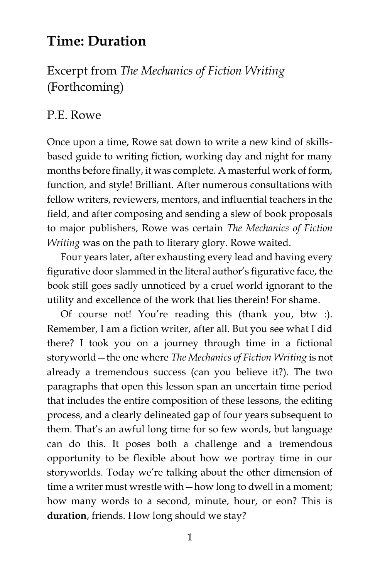## **Time: Duration**

Excerpt from *The Mechanics of Fiction Writing* (Forthcoming)

## P.E. Rowe

Once upon a time, Rowe sat down to write a new kind of skillsbased guide to writing fiction, working day and night for many months before finally, it was complete. A masterful work of form, function, and style! Brilliant. After numerous consultations with fellow writers, reviewers, mentors, and influential teachers in the field, and after composing and sending a slew of book proposals to major publishers, Rowe was certain *The Mechanics of Fiction Writing* was on the path to literary glory. Rowe waited.

Four years later, after exhausting every lead and having every figurative door slammed in the literal author's figurative face, the book still goes sadly unnoticed by a cruel world ignorant to the utility and excellence of the work that lies therein! For shame.

Of course not! You're reading this (thank you, btw :). Remember, I am a fiction writer, after all. But you see what I did there? I took you on a journey through time in a fictional storyworld—the one where *The Mechanics of Fiction Writing* is not already a tremendous success (can you believe it?). The two paragraphs that open this lesson span an uncertain time period that includes the entire composition of these lessons, the editing process, and a clearly delineated gap of four years subsequent to them. That's an awful long time for so few words, but language can do this. It poses both a challenge and a tremendous opportunity to be flexible about how we portray time in our storyworlds. Today we're talking about the other dimension of time a writer must wrestle with—how long to dwell in a moment; how many words to a second, minute, hour, or eon? This is **duration**, friends. How long should we stay?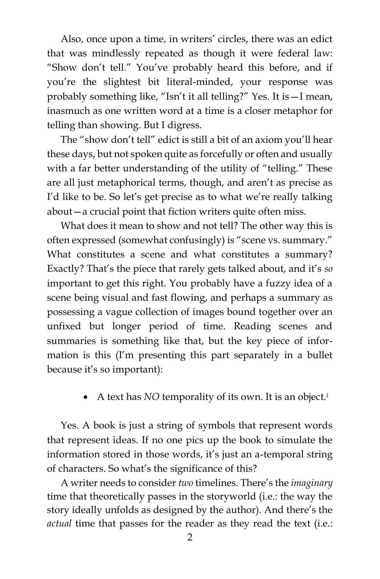Also, once upon a time, in writers' circles, there was an edict that was mindlessly repeated as though it were federal law: "Show don't tell." You've probably heard this before, and if you're the slightest bit literal-minded, your response was probably something like, "Isn't it all telling?" Yes. It is—I mean, inasmuch as one written word at a time is a closer metaphor for telling than showing. But I digress.

The "show don't tell" edict is still a bit of an axiom you'll hear these days, but not spoken quite as forcefully or often and usually with a far better understanding of the utility of "telling." These are all just metaphorical terms, though, and aren't as precise as I'd like to be. So let's get precise as to what we're really talking about—a crucial point that fiction writers quite often miss.

What does it mean to show and not tell? The other way this is often expressed (somewhat confusingly) is "scene vs. summary." What constitutes a scene and what constitutes a summary? Exactly? That's the piece that rarely gets talked about, and it's *so* important to get this right. You probably have a fuzzy idea of a scene being visual and fast flowing, and perhaps a summary as possessing a vague collection of images bound together over an unfixed but longer period of time. Reading scenes and summaries is something like that, but the key piece of information is this (I'm presenting this part separately in a bullet because it's so important):

• A text has *NO* temporality of its own. It is an object.<sup>i</sup>

Yes. A book is just a string of symbols that represent words that represent ideas. If no one pics up the book to simulate the information stored in those words, it's just an a-temporal string of characters. So what's the significance of this?

A writer needs to consider *two* timelines. There's the *imaginary* time that theoretically passes in the storyworld (i.e.: the way the story ideally unfolds as designed by the author). And there's the *actual* time that passes for the reader as they read the text (i.e.: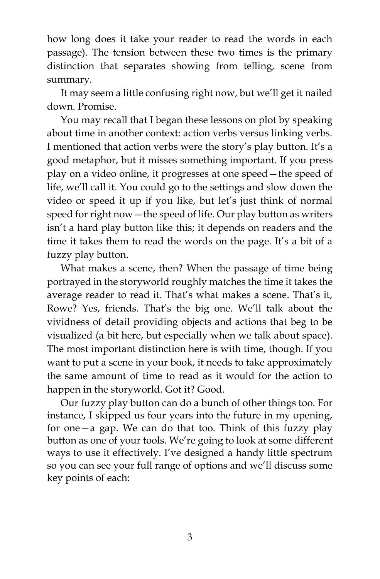how long does it take your reader to read the words in each passage). The tension between these two times is the primary distinction that separates showing from telling, scene from summary.

It may seem a little confusing right now, but we'll get it nailed down. Promise.

You may recall that I began these lessons on plot by speaking about time in another context: action verbs versus linking verbs. I mentioned that action verbs were the story's play button. It's a good metaphor, but it misses something important. If you press play on a video online, it progresses at one speed—the speed of life, we'll call it. You could go to the settings and slow down the video or speed it up if you like, but let's just think of normal speed for right now—the speed of life. Our play button as writers isn't a hard play button like this; it depends on readers and the time it takes them to read the words on the page. It's a bit of a fuzzy play button.

What makes a scene, then? When the passage of time being portrayed in the storyworld roughly matches the time it takes the average reader to read it. That's what makes a scene. That's it, Rowe? Yes, friends. That's the big one. We'll talk about the vividness of detail providing objects and actions that beg to be visualized (a bit here, but especially when we talk about space). The most important distinction here is with time, though. If you want to put a scene in your book, it needs to take approximately the same amount of time to read as it would for the action to happen in the storyworld. Got it? Good.

Our fuzzy play button can do a bunch of other things too. For instance, I skipped us four years into the future in my opening, for one—a gap. We can do that too. Think of this fuzzy play button as one of your tools. We're going to look at some different ways to use it effectively. I've designed a handy little spectrum so you can see your full range of options and we'll discuss some key points of each: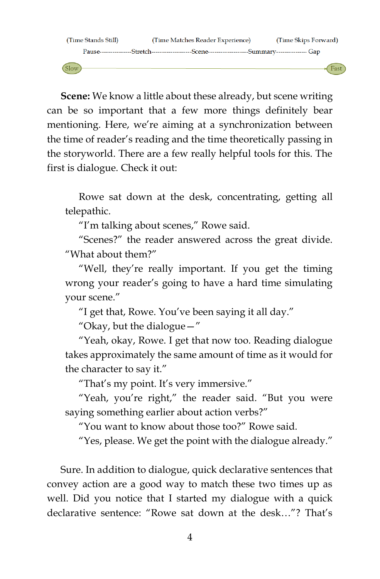

**Scene:** We know a little about these already, but scene writing can be so important that a few more things definitely bear mentioning. Here, we're aiming at a synchronization between the time of reader's reading and the time theoretically passing in the storyworld. There are a few really helpful tools for this. The first is dialogue. Check it out:

Rowe sat down at the desk, concentrating, getting all telepathic.

"I'm talking about scenes," Rowe said.

"Scenes?" the reader answered across the great divide. "What about them?"

"Well, they're really important. If you get the timing wrong your reader's going to have a hard time simulating your scene."

"I get that, Rowe. You've been saying it all day."

"Okay, but the dialogue—"

"Yeah, okay, Rowe. I get that now too. Reading dialogue takes approximately the same amount of time as it would for the character to say it."

"That's my point. It's very immersive."

"Yeah, you're right," the reader said. "But you were saying something earlier about action verbs?"

"You want to know about those too?" Rowe said.

"Yes, please. We get the point with the dialogue already."

Sure. In addition to dialogue, quick declarative sentences that convey action are a good way to match these two times up as well. Did you notice that I started my dialogue with a quick declarative sentence: "Rowe sat down at the desk…"? That's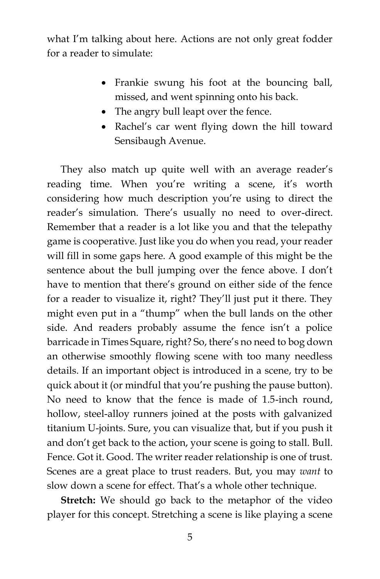what I'm talking about here. Actions are not only great fodder for a reader to simulate:

- Frankie swung his foot at the bouncing ball, missed, and went spinning onto his back.
- The angry bull leapt over the fence.
- Rachel's car went flying down the hill toward Sensibaugh Avenue.

They also match up quite well with an average reader's reading time. When you're writing a scene, it's worth considering how much description you're using to direct the reader's simulation. There's usually no need to over-direct. Remember that a reader is a lot like you and that the telepathy game is cooperative. Just like you do when you read, your reader will fill in some gaps here. A good example of this might be the sentence about the bull jumping over the fence above. I don't have to mention that there's ground on either side of the fence for a reader to visualize it, right? They'll just put it there. They might even put in a "thump" when the bull lands on the other side. And readers probably assume the fence isn't a police barricade in Times Square, right? So, there's no need to bog down an otherwise smoothly flowing scene with too many needless details. If an important object is introduced in a scene, try to be quick about it (or mindful that you're pushing the pause button). No need to know that the fence is made of 1.5-inch round, hollow, steel-alloy runners joined at the posts with galvanized titanium U-joints. Sure, you can visualize that, but if you push it and don't get back to the action, your scene is going to stall. Bull. Fence. Got it. Good. The writer reader relationship is one of trust. Scenes are a great place to trust readers. But, you may *want* to slow down a scene for effect. That's a whole other technique.

**Stretch:** We should go back to the metaphor of the video player for this concept. Stretching a scene is like playing a scene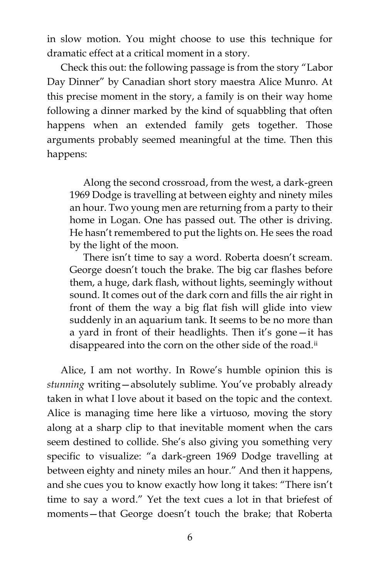in slow motion. You might choose to use this technique for dramatic effect at a critical moment in a story.

Check this out: the following passage is from the story "Labor Day Dinner" by Canadian short story maestra Alice Munro. At this precise moment in the story, a family is on their way home following a dinner marked by the kind of squabbling that often happens when an extended family gets together. Those arguments probably seemed meaningful at the time. Then this happens:

Along the second crossroad, from the west, a dark-green 1969 Dodge is travelling at between eighty and ninety miles an hour. Two young men are returning from a party to their home in Logan. One has passed out. The other is driving. He hasn't remembered to put the lights on. He sees the road by the light of the moon.

There isn't time to say a word. Roberta doesn't scream. George doesn't touch the brake. The big car flashes before them, a huge, dark flash, without lights, seemingly without sound. It comes out of the dark corn and fills the air right in front of them the way a big flat fish will glide into view suddenly in an aquarium tank. It seems to be no more than a yard in front of their headlights. Then it's gone—it has disappeared into the corn on the other side of the road.<sup>ii</sup>

Alice, I am not worthy. In Rowe's humble opinion this is *stunning* writing—absolutely sublime. You've probably already taken in what I love about it based on the topic and the context. Alice is managing time here like a virtuoso, moving the story along at a sharp clip to that inevitable moment when the cars seem destined to collide. She's also giving you something very specific to visualize: "a dark-green 1969 Dodge travelling at between eighty and ninety miles an hour." And then it happens, and she cues you to know exactly how long it takes: "There isn't time to say a word." Yet the text cues a lot in that briefest of moments—that George doesn't touch the brake; that Roberta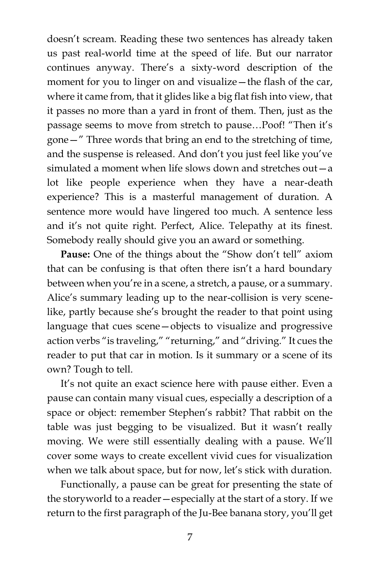doesn't scream. Reading these two sentences has already taken us past real-world time at the speed of life. But our narrator continues anyway. There's a sixty-word description of the moment for you to linger on and visualize—the flash of the car, where it came from, that it glides like a big flat fish into view, that it passes no more than a yard in front of them. Then, just as the passage seems to move from stretch to pause…Poof! "Then it's gone—" Three words that bring an end to the stretching of time, and the suspense is released. And don't you just feel like you've simulated a moment when life slows down and stretches out—a lot like people experience when they have a near-death experience? This is a masterful management of duration. A sentence more would have lingered too much. A sentence less and it's not quite right. Perfect, Alice. Telepathy at its finest. Somebody really should give you an award or something.

Pause: One of the things about the "Show don't tell" axiom that can be confusing is that often there isn't a hard boundary between when you're in a scene, a stretch, a pause, or a summary. Alice's summary leading up to the near-collision is very scenelike, partly because she's brought the reader to that point using language that cues scene—objects to visualize and progressive action verbs "is traveling," "returning," and "driving." It cues the reader to put that car in motion. Is it summary or a scene of its own? Tough to tell.

It's not quite an exact science here with pause either. Even a pause can contain many visual cues, especially a description of a space or object: remember Stephen's rabbit? That rabbit on the table was just begging to be visualized. But it wasn't really moving. We were still essentially dealing with a pause. We'll cover some ways to create excellent vivid cues for visualization when we talk about space, but for now, let's stick with duration.

Functionally, a pause can be great for presenting the state of the storyworld to a reader—especially at the start of a story. If we return to the first paragraph of the Ju-Bee banana story, you'll get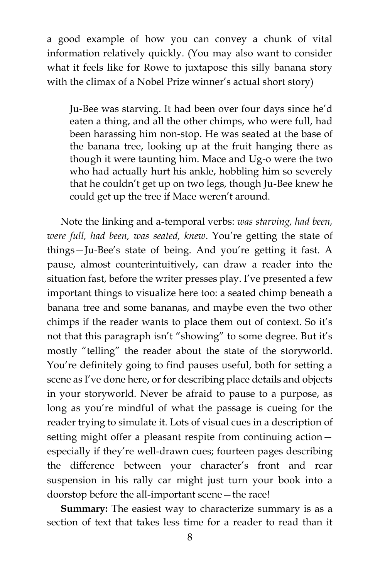a good example of how you can convey a chunk of vital information relatively quickly. (You may also want to consider what it feels like for Rowe to juxtapose this silly banana story with the climax of a Nobel Prize winner's actual short story)

Ju-Bee was starving. It had been over four days since he'd eaten a thing, and all the other chimps, who were full, had been harassing him non-stop. He was seated at the base of the banana tree, looking up at the fruit hanging there as though it were taunting him. Mace and Ug-o were the two who had actually hurt his ankle, hobbling him so severely that he couldn't get up on two legs, though Ju-Bee knew he could get up the tree if Mace weren't around.

Note the linking and a-temporal verbs: *was starving, had been, were full, had been, was seated, knew*. You're getting the state of things—Ju-Bee's state of being. And you're getting it fast. A pause, almost counterintuitively, can draw a reader into the situation fast, before the writer presses play. I've presented a few important things to visualize here too: a seated chimp beneath a banana tree and some bananas, and maybe even the two other chimps if the reader wants to place them out of context. So it's not that this paragraph isn't "showing" to some degree. But it's mostly "telling" the reader about the state of the storyworld. You're definitely going to find pauses useful, both for setting a scene as I've done here, or for describing place details and objects in your storyworld. Never be afraid to pause to a purpose, as long as you're mindful of what the passage is cueing for the reader trying to simulate it. Lots of visual cues in a description of setting might offer a pleasant respite from continuing action especially if they're well-drawn cues; fourteen pages describing the difference between your character's front and rear suspension in his rally car might just turn your book into a doorstop before the all-important scene—the race!

**Summary:** The easiest way to characterize summary is as a section of text that takes less time for a reader to read than it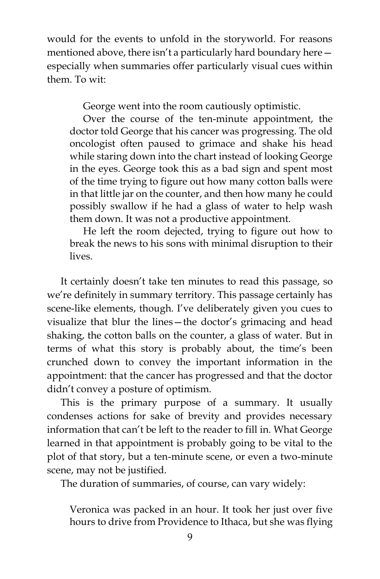would for the events to unfold in the storyworld. For reasons mentioned above, there isn't a particularly hard boundary here especially when summaries offer particularly visual cues within them. To wit:

George went into the room cautiously optimistic.

Over the course of the ten-minute appointment, the doctor told George that his cancer was progressing. The old oncologist often paused to grimace and shake his head while staring down into the chart instead of looking George in the eyes. George took this as a bad sign and spent most of the time trying to figure out how many cotton balls were in that little jar on the counter, and then how many he could possibly swallow if he had a glass of water to help wash them down. It was not a productive appointment.

He left the room dejected, trying to figure out how to break the news to his sons with minimal disruption to their lives.

It certainly doesn't take ten minutes to read this passage, so we're definitely in summary territory. This passage certainly has scene-like elements, though. I've deliberately given you cues to visualize that blur the lines—the doctor's grimacing and head shaking, the cotton balls on the counter, a glass of water. But in terms of what this story is probably about, the time's been crunched down to convey the important information in the appointment: that the cancer has progressed and that the doctor didn't convey a posture of optimism.

This is the primary purpose of a summary. It usually condenses actions for sake of brevity and provides necessary information that can't be left to the reader to fill in. What George learned in that appointment is probably going to be vital to the plot of that story, but a ten-minute scene, or even a two-minute scene, may not be justified.

The duration of summaries, of course, can vary widely:

Veronica was packed in an hour. It took her just over five hours to drive from Providence to Ithaca, but she was flying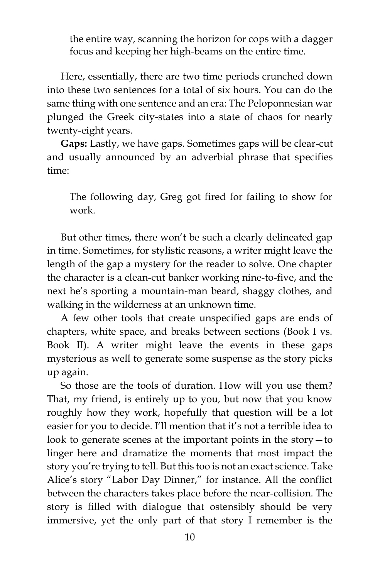the entire way, scanning the horizon for cops with a dagger focus and keeping her high-beams on the entire time.

Here, essentially, there are two time periods crunched down into these two sentences for a total of six hours. You can do the same thing with one sentence and an era: The Peloponnesian war plunged the Greek city-states into a state of chaos for nearly twenty-eight years.

**Gaps:** Lastly, we have gaps. Sometimes gaps will be clear-cut and usually announced by an adverbial phrase that specifies time:

The following day, Greg got fired for failing to show for work.

But other times, there won't be such a clearly delineated gap in time. Sometimes, for stylistic reasons, a writer might leave the length of the gap a mystery for the reader to solve. One chapter the character is a clean-cut banker working nine-to-five, and the next he's sporting a mountain-man beard, shaggy clothes, and walking in the wilderness at an unknown time.

A few other tools that create unspecified gaps are ends of chapters, white space, and breaks between sections (Book I vs. Book II). A writer might leave the events in these gaps mysterious as well to generate some suspense as the story picks up again.

So those are the tools of duration. How will you use them? That, my friend, is entirely up to you, but now that you know roughly how they work, hopefully that question will be a lot easier for you to decide. I'll mention that it's not a terrible idea to look to generate scenes at the important points in the story—to linger here and dramatize the moments that most impact the story you're trying to tell. But this too is not an exact science. Take Alice's story "Labor Day Dinner," for instance. All the conflict between the characters takes place before the near-collision. The story is filled with dialogue that ostensibly should be very immersive, yet the only part of that story I remember is the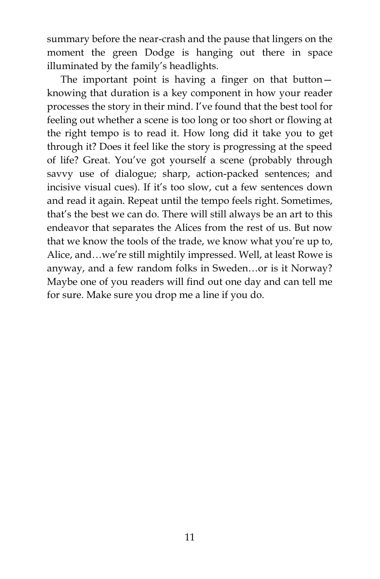summary before the near-crash and the pause that lingers on the moment the green Dodge is hanging out there in space illuminated by the family's headlights.

The important point is having a finger on that button knowing that duration is a key component in how your reader processes the story in their mind. I've found that the best tool for feeling out whether a scene is too long or too short or flowing at the right tempo is to read it. How long did it take you to get through it? Does it feel like the story is progressing at the speed of life? Great. You've got yourself a scene (probably through savvy use of dialogue; sharp, action-packed sentences; and incisive visual cues). If it's too slow, cut a few sentences down and read it again. Repeat until the tempo feels right. Sometimes, that's the best we can do. There will still always be an art to this endeavor that separates the Alices from the rest of us. But now that we know the tools of the trade, we know what you're up to, Alice, and…we're still mightily impressed. Well, at least Rowe is anyway, and a few random folks in Sweden…or is it Norway? Maybe one of you readers will find out one day and can tell me for sure. Make sure you drop me a line if you do.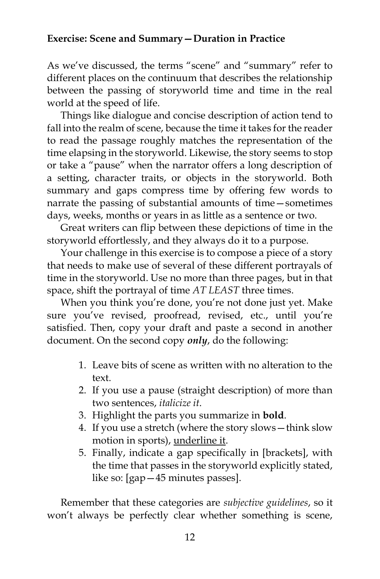## **Exercise: Scene and Summary—Duration in Practice**

As we've discussed, the terms "scene" and "summary" refer to different places on the continuum that describes the relationship between the passing of storyworld time and time in the real world at the speed of life.

Things like dialogue and concise description of action tend to fall into the realm of scene, because the time it takes for the reader to read the passage roughly matches the representation of the time elapsing in the storyworld. Likewise, the story seems to stop or take a "pause" when the narrator offers a long description of a setting, character traits, or objects in the storyworld. Both summary and gaps compress time by offering few words to narrate the passing of substantial amounts of time—sometimes days, weeks, months or years in as little as a sentence or two.

Great writers can flip between these depictions of time in the storyworld effortlessly, and they always do it to a purpose.

Your challenge in this exercise is to compose a piece of a story that needs to make use of several of these different portrayals of time in the storyworld. Use no more than three pages, but in that space, shift the portrayal of time *AT LEAST* three times.

When you think you're done, you're not done just yet. Make sure you've revised, proofread, revised, etc., until you're satisfied. Then, copy your draft and paste a second in another document. On the second copy *only*, do the following:

- 1. Leave bits of scene as written with no alteration to the text.
- 2. If you use a pause (straight description) of more than two sentences, *italicize it*.
- 3. Highlight the parts you summarize in **bold**.
- 4. If you use a stretch (where the story slows—think slow motion in sports), underline it.
- 5. Finally, indicate a gap specifically in [brackets], with the time that passes in the storyworld explicitly stated, like so: [gap—45 minutes passes].

Remember that these categories are *subjective guidelines*, so it won't always be perfectly clear whether something is scene,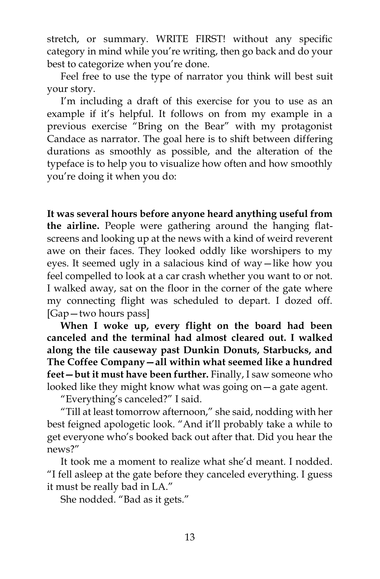stretch, or summary. WRITE FIRST! without any specific category in mind while you're writing, then go back and do your best to categorize when you're done.

Feel free to use the type of narrator you think will best suit your story.

I'm including a draft of this exercise for you to use as an example if it's helpful. It follows on from my example in a previous exercise "Bring on the Bear" with my protagonist Candace as narrator. The goal here is to shift between differing durations as smoothly as possible, and the alteration of the typeface is to help you to visualize how often and how smoothly you're doing it when you do:

**It was several hours before anyone heard anything useful from the airline.** People were gathering around the hanging flatscreens and looking up at the news with a kind of weird reverent awe on their faces. They looked oddly like worshipers to my eyes. It seemed ugly in a salacious kind of way—like how you feel compelled to look at a car crash whether you want to or not. I walked away, sat on the floor in the corner of the gate where my connecting flight was scheduled to depart. I dozed off. [Gap—two hours pass]

**When I woke up, every flight on the board had been canceled and the terminal had almost cleared out. I walked along the tile causeway past Dunkin Donuts, Starbucks, and The Coffee Company—all within what seemed like a hundred feet—but it must have been further.** Finally, I saw someone who looked like they might know what was going on—a gate agent.

"Everything's canceled?" I said.

"Till at least tomorrow afternoon," she said, nodding with her best feigned apologetic look. "And it'll probably take a while to get everyone who's booked back out after that. Did you hear the news?"

It took me a moment to realize what she'd meant. I nodded. "I fell asleep at the gate before they canceled everything. I guess it must be really bad in LA."

She nodded. "Bad as it gets."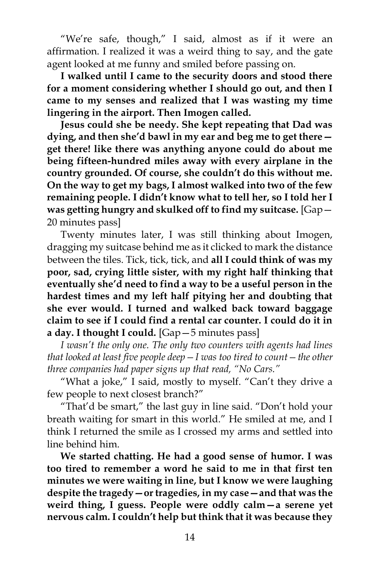"We're safe, though," I said, almost as if it were an affirmation. I realized it was a weird thing to say, and the gate agent looked at me funny and smiled before passing on.

**I walked until I came to the security doors and stood there for a moment considering whether I should go out, and then I came to my senses and realized that I was wasting my time lingering in the airport. Then Imogen called.**

**Jesus could she be needy. She kept repeating that Dad was dying, and then she'd bawl in my ear and beg me to get there get there! like there was anything anyone could do about me being fifteen-hundred miles away with every airplane in the country grounded. Of course, she couldn't do this without me. On the way to get my bags, I almost walked into two of the few remaining people. I didn't know what to tell her, so I told her I was getting hungry and skulked off to find my suitcase.** [Gap— 20 minutes pass]

Twenty minutes later, I was still thinking about Imogen, dragging my suitcase behind me as it clicked to mark the distance between the tiles. Tick, tick, tick, and **all I could think of was my poor, sad, crying little sister, with my right half thinking that eventually she'd need to find a way to be a useful person in the hardest times and my left half pitying her and doubting that she ever would. I turned and walked back toward baggage claim to see if I could find a rental car counter. I could do it in a day. I thought I could.** [Gap—5 minutes pass]

*I wasn't the only one. The only two counters with agents had lines that looked at least five people deep—I was too tired to count—the other three companies had paper signs up that read, "No Cars."*

"What a joke," I said, mostly to myself. "Can't they drive a few people to next closest branch?"

"That'd be smart," the last guy in line said. "Don't hold your breath waiting for smart in this world." He smiled at me, and I think I returned the smile as I crossed my arms and settled into line behind him.

**We started chatting. He had a good sense of humor. I was too tired to remember a word he said to me in that first ten minutes we were waiting in line, but I know we were laughing despite the tragedy—or tragedies, in my case—and that was the weird thing, I guess. People were oddly calm—a serene yet nervous calm. I couldn't help but think that it was because they**